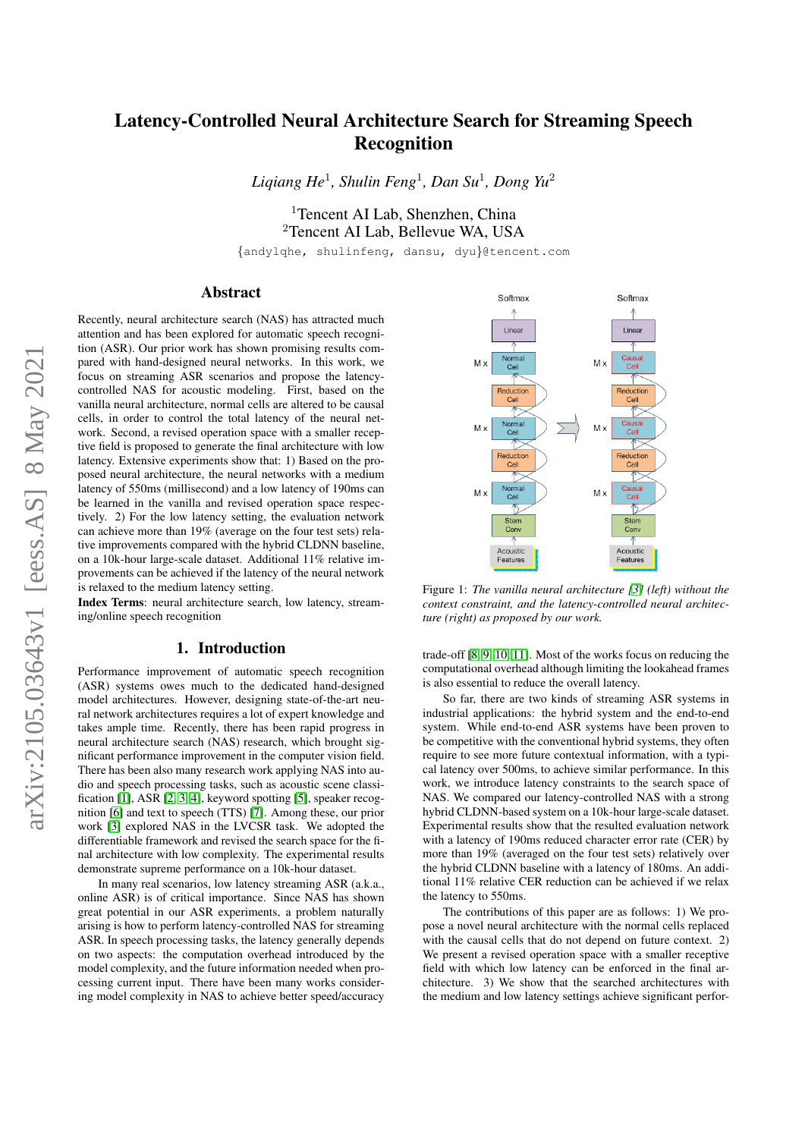# Latency-Controlled Neural Architecture Search for Streaming Speech Recognition

*Liqiang He*<sup>1</sup> *, Shulin Feng*<sup>1</sup> *, Dan Su*<sup>1</sup> *, Dong Yu*<sup>2</sup>

<sup>1</sup>Tencent AI Lab, Shenzhen, China <sup>2</sup>Tencent AI Lab, Bellevue WA, USA

{andylqhe, shulinfeng, dansu, dyu}@tencent.com

# Abstract

Recently, neural architecture search (NAS) has attracted much attention and has been explored for automatic speech recognition (ASR). Our prior work has shown promising results compared with hand-designed neural networks. In this work, we focus on streaming ASR scenarios and propose the latencycontrolled NAS for acoustic modeling. First, based on the vanilla neural architecture, normal cells are altered to be causal cells, in order to control the total latency of the neural network. Second, a revised operation space with a smaller receptive field is proposed to generate the final architecture with low latency. Extensive experiments show that: 1) Based on the proposed neural architecture, the neural networks with a medium latency of 550ms (millisecond) and a low latency of 190ms can be learned in the vanilla and revised operation space respectively. 2) For the low latency setting, the evaluation network can achieve more than 19% (average on the four test sets) relative improvements compared with the hybrid CLDNN baseline, on a 10k-hour large-scale dataset. Additional 11% relative improvements can be achieved if the latency of the neural network is relaxed to the medium latency setting.

Index Terms: neural architecture search, low latency, streaming/online speech recognition

# 1. Introduction

Performance improvement of automatic speech recognition (ASR) systems owes much to the dedicated hand-designed model architectures. However, designing state-of-the-art neural network architectures requires a lot of expert knowledge and takes ample time. Recently, there has been rapid progress in neural architecture search (NAS) research, which brought significant performance improvement in the computer vision field. There has been also many research work applying NAS into audio and speech processing tasks, such as acoustic scene classification [\[1\]](#page-4-0), ASR [\[2,](#page-4-1) [3,](#page-4-2) [4\]](#page-4-3), keyword spotting [\[5\]](#page-4-4), speaker recognition [\[6\]](#page-4-5) and text to speech (TTS) [\[7\]](#page-4-6). Among these, our prior work [\[3\]](#page-4-2) explored NAS in the LVCSR task. We adopted the differentiable framework and revised the search space for the final architecture with low complexity. The experimental results demonstrate supreme performance on a 10k-hour dataset.

In many real scenarios, low latency streaming ASR (a.k.a., online ASR) is of critical importance. Since NAS has shown great potential in our ASR experiments, a problem naturally arising is how to perform latency-controlled NAS for streaming ASR. In speech processing tasks, the latency generally depends on two aspects: the computation overhead introduced by the model complexity, and the future information needed when processing current input. There have been many works considering model complexity in NAS to achieve better speed/accuracy

<span id="page-0-0"></span>

Figure 1: *The vanilla neural architecture [\[3\]](#page-4-2) (left) without the context constraint, and the latency-controlled neural architecture (right) as proposed by our work.*

trade-off [\[8,](#page-4-7) [9,](#page-4-8) [10,](#page-4-9) [11\]](#page-4-10). Most of the works focus on reducing the computational overhead although limiting the lookahead frames is also essential to reduce the overall latency.

So far, there are two kinds of streaming ASR systems in industrial applications: the hybrid system and the end-to-end system. While end-to-end ASR systems have been proven to be competitive with the conventional hybrid systems, they often require to see more future contextual information, with a typical latency over 500ms, to achieve similar performance. In this work, we introduce latency constraints to the search space of NAS. We compared our latency-controlled NAS with a strong hybrid CLDNN-based system on a 10k-hour large-scale dataset. Experimental results show that the resulted evaluation network with a latency of 190ms reduced character error rate (CER) by more than 19% (averaged on the four test sets) relatively over the hybrid CLDNN baseline with a latency of 180ms. An additional 11% relative CER reduction can be achieved if we relax the latency to 550ms.

The contributions of this paper are as follows: 1) We propose a novel neural architecture with the normal cells replaced with the causal cells that do not depend on future context. 2) We present a revised operation space with a smaller receptive field with which low latency can be enforced in the final architecture. 3) We show that the searched architectures with the medium and low latency settings achieve significant perfor-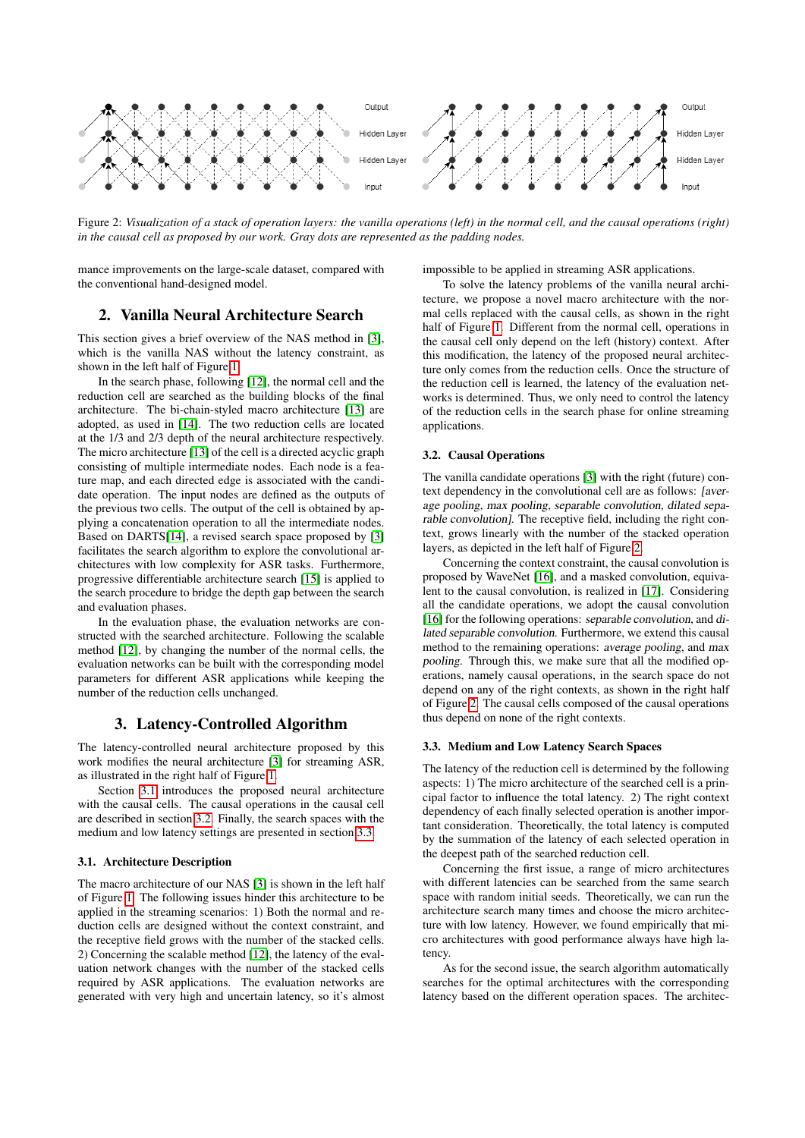<span id="page-1-3"></span>

Figure 2: *Visualization of a stack of operation layers: the vanilla operations (left) in the normal cell, and the causal operations (right) in the causal cell as proposed by our work. Gray dots are represented as the padding nodes.*

mance improvements on the large-scale dataset, compared with the conventional hand-designed model.

# 2. Vanilla Neural Architecture Search

This section gives a brief overview of the NAS method in [\[3\]](#page-4-2), which is the vanilla NAS without the latency constraint, as shown in the left half of Figure [1.](#page-0-0)

In the search phase, following [\[12\]](#page-4-11), the normal cell and the reduction cell are searched as the building blocks of the final architecture. The bi-chain-styled macro architecture [\[13\]](#page-4-12) are adopted, as used in [\[14\]](#page-4-13). The two reduction cells are located at the 1/3 and 2/3 depth of the neural architecture respectively. The micro architecture [\[13\]](#page-4-12) of the cell is a directed acyclic graph consisting of multiple intermediate nodes. Each node is a feature map, and each directed edge is associated with the candidate operation. The input nodes are defined as the outputs of the previous two cells. The output of the cell is obtained by applying a concatenation operation to all the intermediate nodes. Based on DARTS[\[14\]](#page-4-13), a revised search space proposed by [\[3\]](#page-4-2) facilitates the search algorithm to explore the convolutional architectures with low complexity for ASR tasks. Furthermore, progressive differentiable architecture search [\[15\]](#page-4-14) is applied to the search procedure to bridge the depth gap between the search and evaluation phases.

In the evaluation phase, the evaluation networks are constructed with the searched architecture. Following the scalable method [\[12\]](#page-4-11), by changing the number of the normal cells, the evaluation networks can be built with the corresponding model parameters for different ASR applications while keeping the number of the reduction cells unchanged.

# 3. Latency-Controlled Algorithm

The latency-controlled neural architecture proposed by this work modifies the neural architecture [\[3\]](#page-4-2) for streaming ASR, as illustrated in the right half of Figure [1.](#page-0-0)

Section [3.1](#page-1-0) introduces the proposed neural architecture with the causal cells. The causal operations in the causal cell are described in section [3.2.](#page-1-1) Finally, the search spaces with the medium and low latency settings are presented in section [3.3.](#page-1-2)

#### <span id="page-1-0"></span>3.1. Architecture Description

The macro architecture of our NAS [\[3\]](#page-4-2) is shown in the left half of Figure [1.](#page-0-0) The following issues hinder this architecture to be applied in the streaming scenarios: 1) Both the normal and reduction cells are designed without the context constraint, and the receptive field grows with the number of the stacked cells. 2) Concerning the scalable method [\[12\]](#page-4-11), the latency of the evaluation network changes with the number of the stacked cells required by ASR applications. The evaluation networks are generated with very high and uncertain latency, so it's almost impossible to be applied in streaming ASR applications.

To solve the latency problems of the vanilla neural architecture, we propose a novel macro architecture with the normal cells replaced with the causal cells, as shown in the right half of Figure [1.](#page-0-0) Different from the normal cell, operations in the causal cell only depend on the left (history) context. After this modification, the latency of the proposed neural architecture only comes from the reduction cells. Once the structure of the reduction cell is learned, the latency of the evaluation networks is determined. Thus, we only need to control the latency of the reduction cells in the search phase for online streaming applications.

### <span id="page-1-1"></span>3.2. Causal Operations

The vanilla candidate operations [\[3\]](#page-4-2) with the right (future) context dependency in the convolutional cell are as follows: [average pooling, max pooling, separable convolution, dilated separable convolution]. The receptive field, including the right context, grows linearly with the number of the stacked operation layers, as depicted in the left half of Figure [2.](#page-1-3)

Concerning the context constraint, the causal convolution is proposed by WaveNet [\[16\]](#page-4-15), and a masked convolution, equivalent to the causal convolution, is realized in [\[17\]](#page-4-16). Considering all the candidate operations, we adopt the causal convolution [\[16\]](#page-4-15) for the following operations: separable convolution, and dilated separable convolution. Furthermore, we extend this causal method to the remaining operations: average pooling, and max pooling. Through this, we make sure that all the modified operations, namely causal operations, in the search space do not depend on any of the right contexts, as shown in the right half of Figure [2.](#page-1-3) The causal cells composed of the causal operations thus depend on none of the right contexts.

### <span id="page-1-2"></span>3.3. Medium and Low Latency Search Spaces

The latency of the reduction cell is determined by the following aspects: 1) The micro architecture of the searched cell is a principal factor to influence the total latency. 2) The right context dependency of each finally selected operation is another important consideration. Theoretically, the total latency is computed by the summation of the latency of each selected operation in the deepest path of the searched reduction cell.

Concerning the first issue, a range of micro architectures with different latencies can be searched from the same search space with random initial seeds. Theoretically, we can run the architecture search many times and choose the micro architecture with low latency. However, we found empirically that micro architectures with good performance always have high latency.

As for the second issue, the search algorithm automatically searches for the optimal architectures with the corresponding latency based on the different operation spaces. The architec-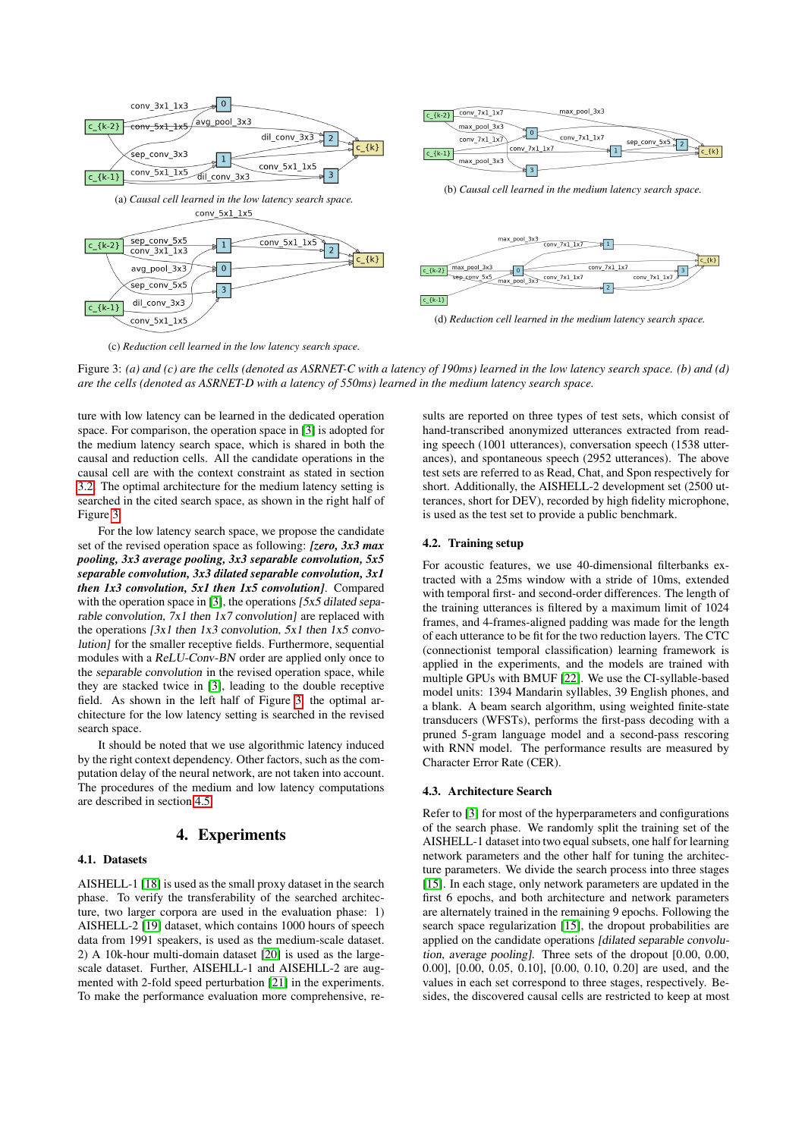<span id="page-2-0"></span>

(c) *Reduction cell learned in the low latency search space.*

Figure 3: *(a) and (c) are the cells (denoted as ASRNET-C with a latency of 190ms) learned in the low latency search space. (b) and (d) are the cells (denoted as ASRNET-D with a latency of 550ms) learned in the medium latency search space.*

ture with low latency can be learned in the dedicated operation space. For comparison, the operation space in [\[3\]](#page-4-2) is adopted for the medium latency search space, which is shared in both the causal and reduction cells. All the candidate operations in the causal cell are with the context constraint as stated in section [3.2.](#page-1-1) The optimal architecture for the medium latency setting is searched in the cited search space, as shown in the right half of Figure [3.](#page-2-0)

For the low latency search space, we propose the candidate set of the revised operation space as following: *[zero, 3x3 max pooling, 3x3 average pooling, 3x3 separable convolution, 5x5 separable convolution, 3x3 dilated separable convolution, 3x1 then 1x3 convolution, 5x1 then 1x5 convolution]*. Compared with the operation space in [\[3\]](#page-4-2), the operations [5x5 dilated separable convolution,  $7x1$  then  $1x7$  convolution] are replaced with the operations  $[3x1]$  then  $1x3$  convolution,  $5x1$  then  $1x5$  convolution] for the smaller receptive fields. Furthermore, sequential modules with a ReLU-Conv-BN order are applied only once to the separable convolution in the revised operation space, while they are stacked twice in [\[3\]](#page-4-2), leading to the double receptive field. As shown in the left half of Figure [3,](#page-2-0) the optimal architecture for the low latency setting is searched in the revised search space.

It should be noted that we use algorithmic latency induced by the right context dependency. Other factors, such as the computation delay of the neural network, are not taken into account. The procedures of the medium and low latency computations are described in section [4.5.](#page-3-0)

# 4. Experiments

#### 4.1. Datasets

AISHELL-1 [\[18\]](#page-4-17) is used as the small proxy dataset in the search phase. To verify the transferability of the searched architecture, two larger corpora are used in the evaluation phase: 1) AISHELL-2 [\[19\]](#page-4-18) dataset, which contains 1000 hours of speech data from 1991 speakers, is used as the medium-scale dataset. 2) A 10k-hour multi-domain dataset [\[20\]](#page-4-19) is used as the largescale dataset. Further, AISEHLL-1 and AISEHLL-2 are augmented with 2-fold speed perturbation [\[21\]](#page-4-20) in the experiments. To make the performance evaluation more comprehensive, re-

sults are reported on three types of test sets, which consist of hand-transcribed anonymized utterances extracted from reading speech (1001 utterances), conversation speech (1538 utterances), and spontaneous speech (2952 utterances). The above test sets are referred to as Read, Chat, and Spon respectively for short. Additionally, the AISHELL-2 development set (2500 utterances, short for DEV), recorded by high fidelity microphone, is used as the test set to provide a public benchmark.

#### 4.2. Training setup

For acoustic features, we use 40-dimensional filterbanks extracted with a 25ms window with a stride of 10ms, extended with temporal first- and second-order differences. The length of the training utterances is filtered by a maximum limit of 1024 frames, and 4-frames-aligned padding was made for the length of each utterance to be fit for the two reduction layers. The CTC (connectionist temporal classification) learning framework is applied in the experiments, and the models are trained with multiple GPUs with BMUF [\[22\]](#page-4-21). We use the CI-syllable-based model units: 1394 Mandarin syllables, 39 English phones, and a blank. A beam search algorithm, using weighted finite-state transducers (WFSTs), performs the first-pass decoding with a pruned 5-gram language model and a second-pass rescoring with RNN model. The performance results are measured by Character Error Rate (CER).

#### 4.3. Architecture Search

Refer to [\[3\]](#page-4-2) for most of the hyperparameters and configurations of the search phase. We randomly split the training set of the AISHELL-1 dataset into two equal subsets, one half for learning network parameters and the other half for tuning the architecture parameters. We divide the search process into three stages [\[15\]](#page-4-14). In each stage, only network parameters are updated in the first 6 epochs, and both architecture and network parameters are alternately trained in the remaining 9 epochs. Following the search space regularization [\[15\]](#page-4-14), the dropout probabilities are applied on the candidate operations [dilated separable convolution, average pooling]. Three sets of the dropout [0.00, 0.00, 0.00], [0.00, 0.05, 0.10], [0.00, 0.10, 0.20] are used, and the values in each set correspond to three stages, respectively. Besides, the discovered causal cells are restricted to keep at most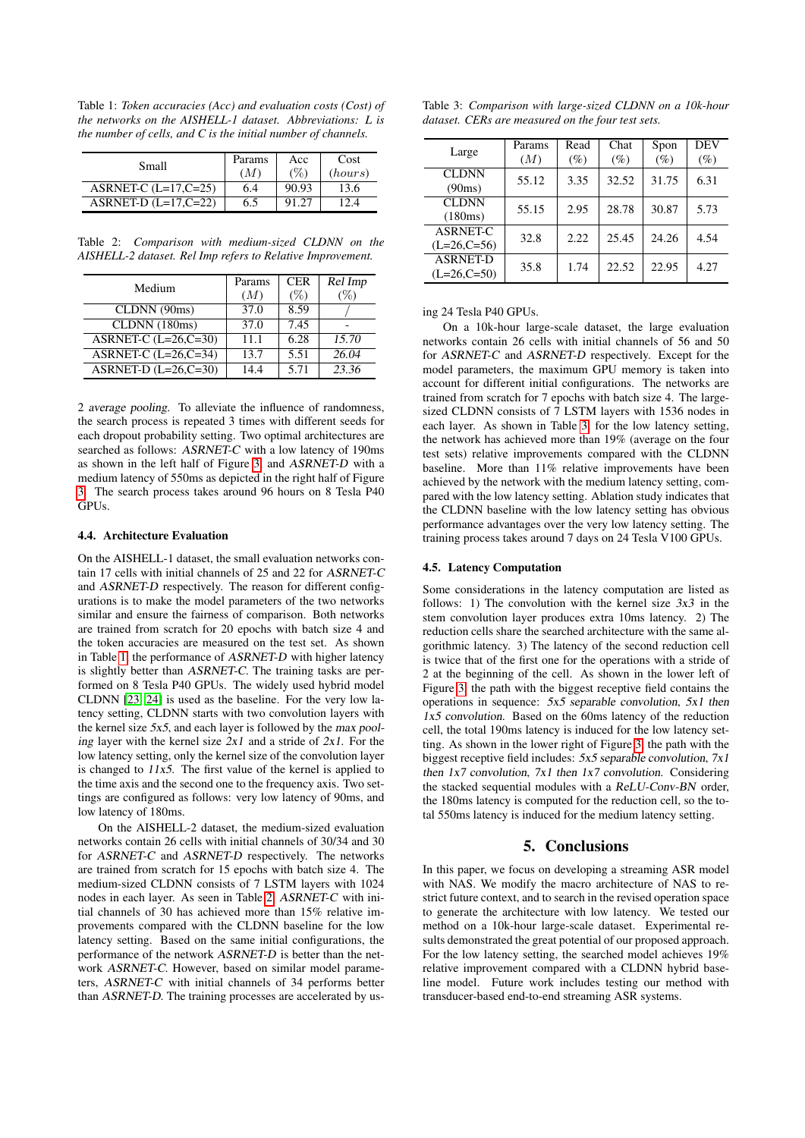<span id="page-3-1"></span>Table 1: *Token accuracies (Acc) and evaluation costs (Cost) of the networks on the AISHELL-1 dataset. Abbreviations: L is the number of cells, and C is the initial number of channels.*

| Small                   | Params<br>(M) | Acc<br>(%) | Cost<br>(hours) |
|-------------------------|---------------|------------|-----------------|
| ASRNET-C $(L=17, C=25)$ | 6.4           | 90.93      | 13.6            |
| $ASRNET-D (L=17,C=22)$  | 6.5           |            |                 |

<span id="page-3-2"></span>Table 2: *Comparison with medium-sized CLDNN on the AISHELL-2 dataset. Rel Imp refers to Relative Improvement.*

| Medium                  | Params | <b>CER</b> | $\overline{Re}$ l Imp |
|-------------------------|--------|------------|-----------------------|
|                         | (M)    | $(\%)$     |                       |
| CLDNN(90ms)             | 37.0   | 8.59       |                       |
| CLDNN (180ms)           | 37.0   | 7.45       |                       |
| ASRNET-C $(L=26, C=30)$ | 11.1   | 6.28       | 15.70                 |
| ASRNET-C $(L=26,C=34)$  | 13.7   | 5.51       | 26.04                 |
| ASRNET-D $(L=26, C=30)$ | 14.4   | 5.71       | 23.36                 |

2 average pooling. To alleviate the influence of randomness, the search process is repeated 3 times with different seeds for each dropout probability setting. Two optimal architectures are searched as follows: ASRNET-C with a low latency of 190ms as shown in the left half of Figure [3,](#page-2-0) and ASRNET-D with a medium latency of 550ms as depicted in the right half of Figure [3.](#page-2-0) The search process takes around 96 hours on 8 Tesla P40 **GPUs** 

### 4.4. Architecture Evaluation

On the AISHELL-1 dataset, the small evaluation networks contain 17 cells with initial channels of 25 and 22 for ASRNET-C and ASRNET-D respectively. The reason for different configurations is to make the model parameters of the two networks similar and ensure the fairness of comparison. Both networks are trained from scratch for 20 epochs with batch size 4 and the token accuracies are measured on the test set. As shown in Table [1,](#page-3-1) the performance of ASRNET-D with higher latency is slightly better than ASRNET-C. The training tasks are performed on 8 Tesla P40 GPUs. The widely used hybrid model CLDNN [\[23,](#page-4-22) [24\]](#page-4-23) is used as the baseline. For the very low latency setting, CLDNN starts with two convolution layers with the kernel size  $5x5$ , and each layer is followed by the max pooling layer with the kernel size  $2x1$  and a stride of  $2x1$ . For the low latency setting, only the kernel size of the convolution layer is changed to  $11x5$ . The first value of the kernel is applied to the time axis and the second one to the frequency axis. Two settings are configured as follows: very low latency of 90ms, and low latency of 180ms.

On the AISHELL-2 dataset, the medium-sized evaluation networks contain 26 cells with initial channels of 30/34 and 30 for ASRNET-C and ASRNET-D respectively. The networks are trained from scratch for 15 epochs with batch size 4. The medium-sized CLDNN consists of 7 LSTM layers with 1024 nodes in each layer. As seen in Table [2,](#page-3-2) ASRNET-C with initial channels of 30 has achieved more than 15% relative improvements compared with the CLDNN baseline for the low latency setting. Based on the same initial configurations, the performance of the network ASRNET-D is better than the network ASRNET-C. However, based on similar model parameters, ASRNET-C with initial channels of 34 performs better than ASRNET-D. The training processes are accelerated by us-

<span id="page-3-3"></span>Table 3: *Comparison with large-sized CLDNN on a 10k-hour dataset. CERs are measured on the four test sets.*

| Large           | Params | Read   | Chat   | Spon   | DEV    |
|-----------------|--------|--------|--------|--------|--------|
|                 | (M)    | $(\%)$ | $(\%)$ | $(\%)$ | $(\%)$ |
| <b>CLDNN</b>    | 55.12  | 3.35   | 32.52  | 31.75  | 6.31   |
| (90ms)          |        |        |        |        |        |
| <b>CLDNN</b>    | 55.15  | 2.95   | 28.78  | 30.87  | 5.73   |
| (180ms)         |        |        |        |        |        |
| <b>ASRNET-C</b> | 32.8   | 2.22   | 25.45  | 24.26  | 4.54   |
| $(L=26, C=56)$  |        |        |        |        |        |
| <b>ASRNET-D</b> | 35.8   | 1.74   | 22.52  | 22.95  | 4.27   |
| $(L=26, C=50)$  |        |        |        |        |        |

ing 24 Tesla P40 GPUs.

On a 10k-hour large-scale dataset, the large evaluation networks contain 26 cells with initial channels of 56 and 50 for ASRNET-C and ASRNET-D respectively. Except for the model parameters, the maximum GPU memory is taken into account for different initial configurations. The networks are trained from scratch for 7 epochs with batch size 4. The largesized CLDNN consists of 7 LSTM layers with 1536 nodes in each layer. As shown in Table [3,](#page-3-3) for the low latency setting, the network has achieved more than 19% (average on the four test sets) relative improvements compared with the CLDNN baseline. More than 11% relative improvements have been achieved by the network with the medium latency setting, compared with the low latency setting. Ablation study indicates that the CLDNN baseline with the low latency setting has obvious performance advantages over the very low latency setting. The training process takes around 7 days on 24 Tesla V100 GPUs.

#### <span id="page-3-0"></span>4.5. Latency Computation

Some considerations in the latency computation are listed as follows: 1) The convolution with the kernel size  $3x3$  in the stem convolution layer produces extra 10ms latency. 2) The reduction cells share the searched architecture with the same algorithmic latency. 3) The latency of the second reduction cell is twice that of the first one for the operations with a stride of 2 at the beginning of the cell. As shown in the lower left of Figure [3,](#page-2-0) the path with the biggest receptive field contains the operations in sequence: 5x5 separable convolution, 5x1 then 1x5 convolution. Based on the 60ms latency of the reduction cell, the total 190ms latency is induced for the low latency setting. As shown in the lower right of Figure [3,](#page-2-0) the path with the biggest receptive field includes: 5x5 separable convolution, 7x1 then 1x7 convolution, 7x1 then 1x7 convolution. Considering the stacked sequential modules with a ReLU-Conv-BN order, the 180ms latency is computed for the reduction cell, so the total 550ms latency is induced for the medium latency setting.

### 5. Conclusions

In this paper, we focus on developing a streaming ASR model with NAS. We modify the macro architecture of NAS to restrict future context, and to search in the revised operation space to generate the architecture with low latency. We tested our method on a 10k-hour large-scale dataset. Experimental results demonstrated the great potential of our proposed approach. For the low latency setting, the searched model achieves 19% relative improvement compared with a CLDNN hybrid baseline model. Future work includes testing our method with transducer-based end-to-end streaming ASR systems.